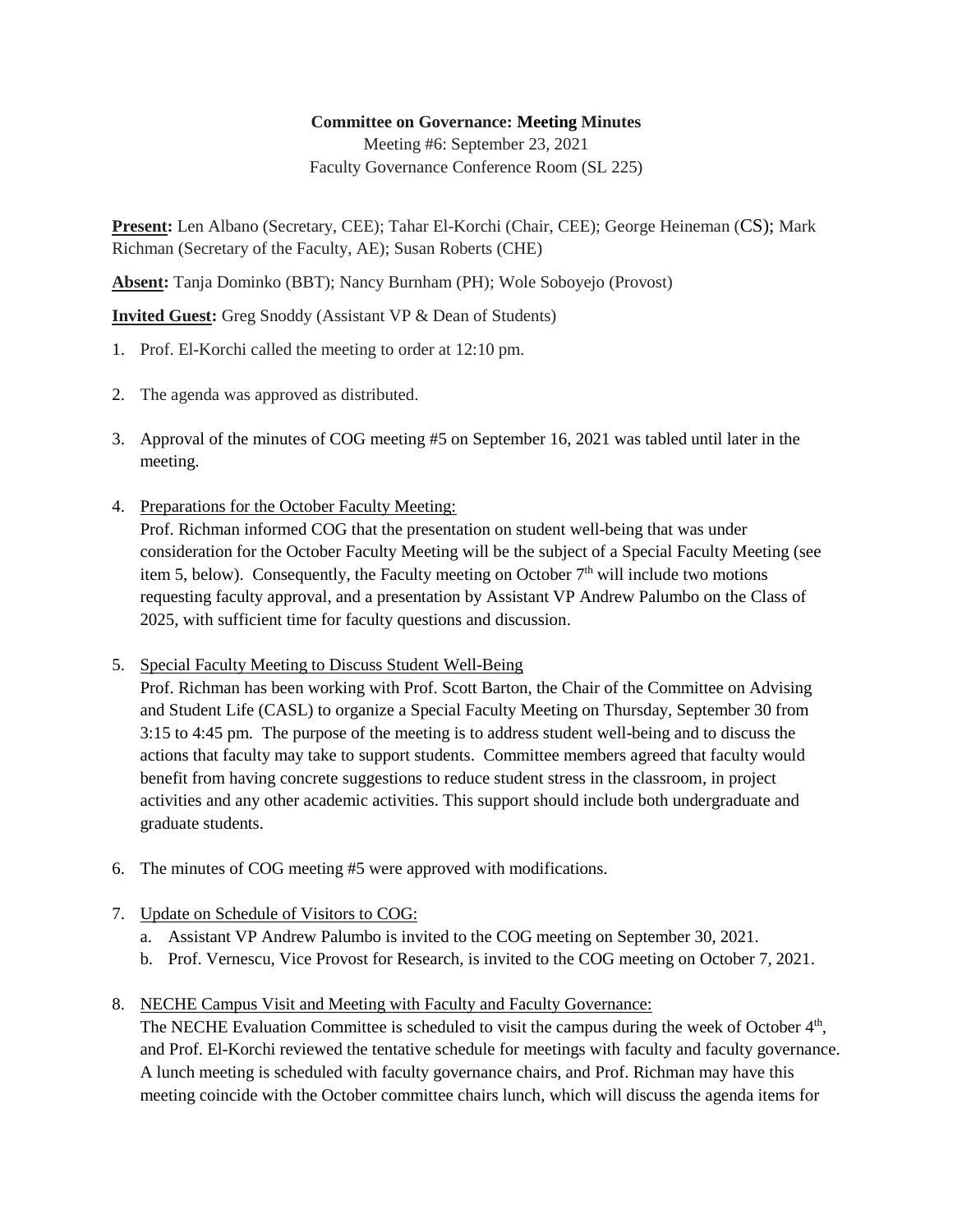## **Committee on Governance: Meeting Minutes**

Meeting #6: September 23, 2021 Faculty Governance Conference Room (SL 225)

**Present:** Len Albano (Secretary, CEE); Tahar El-Korchi (Chair, CEE); George Heineman (CS); Mark Richman (Secretary of the Faculty, AE); Susan Roberts (CHE)

**Absent:** Tanja Dominko (BBT); Nancy Burnham (PH); Wole Soboyejo (Provost)

**Invited Guest:** Greg Snoddy (Assistant VP & Dean of Students)

- 1. Prof. El-Korchi called the meeting to order at 12:10 pm.
- 2. The agenda was approved as distributed.
- 3. Approval of the minutes of COG meeting #5 on September 16, 2021 was tabled until later in the meeting.
- 4. Preparations for the October Faculty Meeting: Prof. Richman informed COG that the presentation on student well-being that was under consideration for the October Faculty Meeting will be the subject of a Special Faculty Meeting (see item 5, below). Consequently, the Faculty meeting on October  $7<sup>th</sup>$  will include two motions requesting faculty approval, and a presentation by Assistant VP Andrew Palumbo on the Class of
- 5. Special Faculty Meeting to Discuss Student Well-Being

2025, with sufficient time for faculty questions and discussion.

Prof. Richman has been working with Prof. Scott Barton, the Chair of the Committee on Advising and Student Life (CASL) to organize a Special Faculty Meeting on Thursday, September 30 from 3:15 to 4:45 pm. The purpose of the meeting is to address student well-being and to discuss the actions that faculty may take to support students. Committee members agreed that faculty would benefit from having concrete suggestions to reduce student stress in the classroom, in project activities and any other academic activities. This support should include both undergraduate and graduate students.

- 6. The minutes of COG meeting #5 were approved with modifications.
- 7. Update on Schedule of Visitors to COG:
	- a. Assistant VP Andrew Palumbo is invited to the COG meeting on September 30, 2021.
	- b. Prof. Vernescu, Vice Provost for Research, is invited to the COG meeting on October 7, 2021.
- 8. NECHE Campus Visit and Meeting with Faculty and Faculty Governance:

The NECHE Evaluation Committee is scheduled to visit the campus during the week of October 4<sup>th</sup>, and Prof. El-Korchi reviewed the tentative schedule for meetings with faculty and faculty governance. A lunch meeting is scheduled with faculty governance chairs, and Prof. Richman may have this meeting coincide with the October committee chairs lunch, which will discuss the agenda items for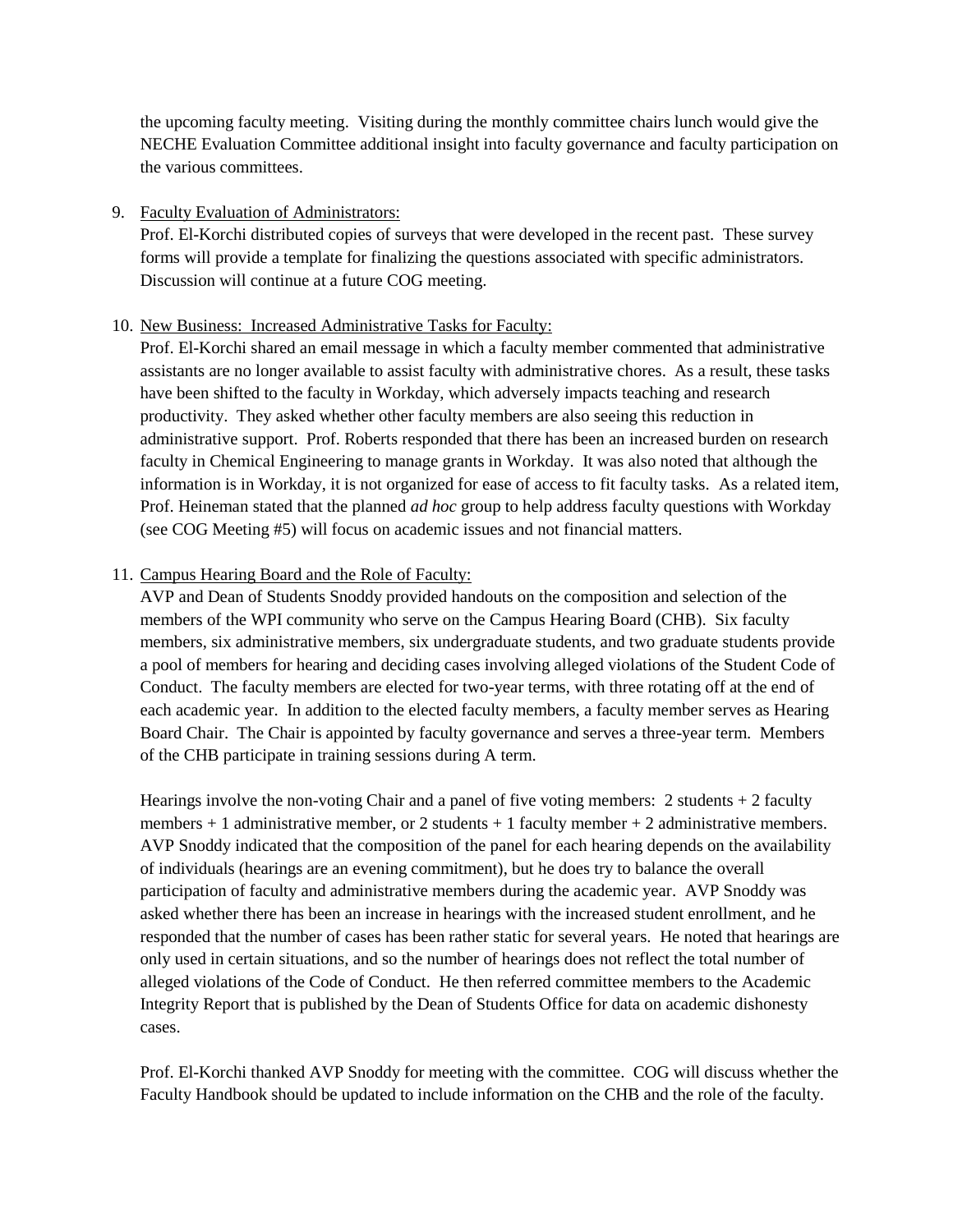the upcoming faculty meeting. Visiting during the monthly committee chairs lunch would give the NECHE Evaluation Committee additional insight into faculty governance and faculty participation on the various committees.

## 9. Faculty Evaluation of Administrators:

Prof. El-Korchi distributed copies of surveys that were developed in the recent past. These survey forms will provide a template for finalizing the questions associated with specific administrators. Discussion will continue at a future COG meeting.

## 10. New Business: Increased Administrative Tasks for Faculty:

Prof. El-Korchi shared an email message in which a faculty member commented that administrative assistants are no longer available to assist faculty with administrative chores. As a result, these tasks have been shifted to the faculty in Workday, which adversely impacts teaching and research productivity. They asked whether other faculty members are also seeing this reduction in administrative support. Prof. Roberts responded that there has been an increased burden on research faculty in Chemical Engineering to manage grants in Workday. It was also noted that although the information is in Workday, it is not organized for ease of access to fit faculty tasks. As a related item, Prof. Heineman stated that the planned *ad hoc* group to help address faculty questions with Workday (see COG Meeting #5) will focus on academic issues and not financial matters.

## 11. Campus Hearing Board and the Role of Faculty:

AVP and Dean of Students Snoddy provided handouts on the composition and selection of the members of the WPI community who serve on the Campus Hearing Board (CHB). Six faculty members, six administrative members, six undergraduate students, and two graduate students provide a pool of members for hearing and deciding cases involving alleged violations of the Student Code of Conduct. The faculty members are elected for two-year terms, with three rotating off at the end of each academic year. In addition to the elected faculty members, a faculty member serves as Hearing Board Chair. The Chair is appointed by faculty governance and serves a three-year term. Members of the CHB participate in training sessions during A term.

Hearings involve the non-voting Chair and a panel of five voting members:  $2$  students  $+ 2$  faculty members  $+1$  administrative member, or 2 students  $+1$  faculty member  $+2$  administrative members. AVP Snoddy indicated that the composition of the panel for each hearing depends on the availability of individuals (hearings are an evening commitment), but he does try to balance the overall participation of faculty and administrative members during the academic year. AVP Snoddy was asked whether there has been an increase in hearings with the increased student enrollment, and he responded that the number of cases has been rather static for several years. He noted that hearings are only used in certain situations, and so the number of hearings does not reflect the total number of alleged violations of the Code of Conduct. He then referred committee members to the Academic Integrity Report that is published by the Dean of Students Office for data on academic dishonesty cases.

Prof. El-Korchi thanked AVP Snoddy for meeting with the committee. COG will discuss whether the Faculty Handbook should be updated to include information on the CHB and the role of the faculty.